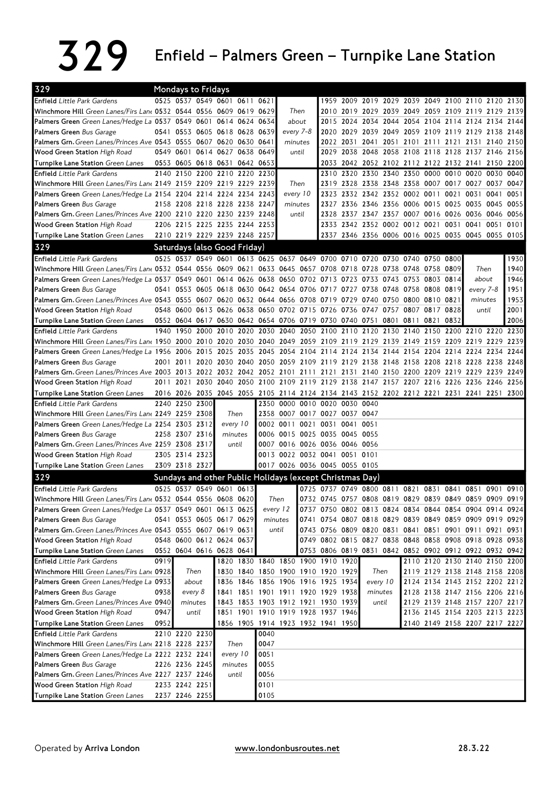## 329 Enfield – Palmers Green – Turnpike Lane Station

| 329                                                                                                                            |      | Mondays to Fridays                                                                        |      |                                                                                 |      |      |                                                             |  |                                              |           |                                         |  |      |                |                                                                  |      |
|--------------------------------------------------------------------------------------------------------------------------------|------|-------------------------------------------------------------------------------------------|------|---------------------------------------------------------------------------------|------|------|-------------------------------------------------------------|--|----------------------------------------------|-----------|-----------------------------------------|--|------|----------------|------------------------------------------------------------------|------|
| <b>Enfield</b> Little Park Gardens                                                                                             |      | 0525 0537 0549 0601 0611 0621                                                             |      |                                                                                 |      |      |                                                             |  |                                              |           |                                         |  |      |                | 1959 2009 2019 2029 2039 2049 2100 2110 2120 2130                |      |
| Winchmore Hill Green Lanes/Firs Lane 0532 0544 0556 0609 0619 0629                                                             |      |                                                                                           |      |                                                                                 |      |      | Then                                                        |  |                                              |           |                                         |  |      |                | 2010 2019 2029 2039 2049 2059 2109 2119 2129 2139                |      |
| Palmers Green Green Lanes/Hedge La 0537 0549 0601                                                                              |      |                                                                                           |      | 0614 0624 0634                                                                  |      |      | about                                                       |  | 2015                                         |           |                                         |  |      |                | 2024 2034 2044 2054 2104 2114 2124 2134 2144                     |      |
| Palmers Green Bus Garage                                                                                                       |      | 0541 0553 0605 0618 0628                                                                  |      |                                                                                 |      | 0639 | every 7-8                                                   |  | 2020                                         |           |                                         |  |      |                | 2029 2039 2049 2059 2109 2119 2129 2138 2148                     |      |
| Palmers Grn. Green Lanes/Princes Ave 0543 0555 0607 0620 0630                                                                  |      |                                                                                           |      |                                                                                 |      | 0641 | minutes                                                     |  | 2022                                         | 2031      |                                         |  |      |                | 2041 2051 2101 2111 2121 2131 2140 2150                          |      |
| Wood Green Station High Road                                                                                                   |      | 0549 0601 0614 0627 0638                                                                  |      |                                                                                 |      | 0649 | until                                                       |  |                                              |           |                                         |  |      |                | 2029 2038 2048 2058 2108 2118 2128 2137 2146 2156                |      |
| Turnpike Lane Station Green Lanes                                                                                              |      | 0553 0605 0618 0631 0642 0653                                                             |      |                                                                                 |      |      |                                                             |  | 2033                                         |           |                                         |  |      |                | 2042 2052 2102 2112 2122 2132 2141 2150 2200                     |      |
| <b>Enfield</b> Little Park Gardens                                                                                             |      | 2140 2150 2200 2210 2220 2230                                                             |      |                                                                                 |      |      |                                                             |  | 2310                                         |           | 2320 2330 2340 2350 0000 0010 0020      |  |      |                | 0030 0040                                                        |      |
| Winchmore Hill Green Lanes/Firs Lane 2149 2159 2209 2219 2229 2239                                                             |      |                                                                                           |      |                                                                                 |      |      | Then                                                        |  | 2319                                         |           |                                         |  |      |                | 2328 2338 2348 2358 0007 0017 0027 0037 0047                     |      |
| Palmers Green Green Lanes/Hedge La 2154 2204 2214 2224 2234 2243                                                               |      |                                                                                           |      |                                                                                 |      |      | every 10                                                    |  | 2323                                         |           |                                         |  |      |                | 2332 2342 2352 0002 0011 0021 0031 0041 0051                     |      |
| Palmers Green Bus Garage                                                                                                       |      | 2158 2208 2218 2228 2238                                                                  |      |                                                                                 |      | 2247 | minutes                                                     |  | 2327                                         |           |                                         |  |      |                | 2336 2346 2356 0006 0015 0025 0035 0045 0055                     |      |
| Palmers Grn. Green Lanes/Princes Ave 2200 2210 2220 2230 2239 2248                                                             |      |                                                                                           |      |                                                                                 |      |      | until                                                       |  | 2328                                         |           |                                         |  |      |                | 2337 2347 2357 0007 0016 0026 0036 0046 0056                     |      |
| Wood Green Station High Road                                                                                                   |      | 2206 2215 2225 2235 2244 2253                                                             |      |                                                                                 |      |      |                                                             |  |                                              |           | 2333 2342 2352 0002 0012 0021 0031 0041 |  |      |                | 0051                                                             | 0101 |
| Turnpike Lane Station Green Lanes                                                                                              |      | 2210 2219 2229 2239 2248 2257                                                             |      |                                                                                 |      |      |                                                             |  |                                              |           |                                         |  |      |                | 2337 2346 2356 0006 0016 0025 0035 0045 0055 0105                |      |
| 329                                                                                                                            |      | Saturdays (also Good Friday)                                                              |      |                                                                                 |      |      |                                                             |  |                                              |           |                                         |  |      |                |                                                                  |      |
| <b>Enfield</b> Little Park Gardens                                                                                             |      | 0525 0537 0549 0601 0613 0625 0637 0649 0700 0710 0720 0730 0740 0750 0800                |      |                                                                                 |      |      |                                                             |  |                                              |           |                                         |  |      |                |                                                                  | 1930 |
| Winchmore Hill Green Lanes/Firs Lan( 0532 0544 0556 0609 0621 0633 0645 0657 0708 0718 0728 0738 0748 0758 0809                |      |                                                                                           |      |                                                                                 |      |      |                                                             |  |                                              |           |                                         |  |      |                | Then                                                             | 1940 |
| Palmers Green Green Lanes/Hedge La 0537 0549 0601                                                                              |      |                                                                                           |      |                                                                                 |      |      | 0614 0626 0638 0650 0702 0713 0723 0733 0743 0753 0803 0814 |  |                                              |           |                                         |  |      | about          |                                                                  | 1946 |
| Palmers Green Bus Garage                                                                                                       |      | 0541 0553 0605 0618 0630 0642 0654 0706 0717 0727 0738 0748 0758 0808 0819                |      |                                                                                 |      |      |                                                             |  |                                              |           |                                         |  |      | every 7-8      |                                                                  | 1951 |
| Palmers Grn. Green Lanes/Princes Ave 0543 0555 0607 0620 0632 0644 0656 0708 0719 0729 0740 0750 0800 0810 0821                |      |                                                                                           |      |                                                                                 |      |      |                                                             |  |                                              |           |                                         |  |      | minutes        |                                                                  | 1953 |
| Wood Green Station High Road                                                                                                   |      | 0548 0600 0613 0626 0638 0650 0702 0715 0726 0736 0747 0757 0807 0817                     |      |                                                                                 |      |      |                                                             |  |                                              |           |                                         |  | 0828 | until          |                                                                  | 2001 |
| Turnpike Lane Station Green Lanes                                                                                              |      | 0552 0604 0617 0630 0642 0654 0706 0719 0730 0740 0751 0801 0811 0821                     |      |                                                                                 |      |      |                                                             |  |                                              |           |                                         |  | 0832 |                |                                                                  | 2006 |
| <b>Enfield</b> Little Park Gardens                                                                                             |      | 1940 1950                                                                                 | 2000 | 2010                                                                            | 2020 | 2030 | 2040 2050 2100 2110 2120 2130 2140 2150                     |  |                                              |           |                                         |  |      | 2200 2210 2220 |                                                                  | 2230 |
| Winchmore Hill Green Lanes/Firs Lan« 1950 2000 2010 2020 2030 2040 2049 2059 2109 2119 2129 2139 2149 2159 2209 2219 2229 2239 |      |                                                                                           |      |                                                                                 |      |      |                                                             |  |                                              |           |                                         |  |      |                |                                                                  |      |
| Palmers Green Green Lanes/Hedge La 1956 2006 2015 2025 2035 2045 2054 2104 2114 2124 2134 2144 2154 2204 2214 2224 2234 2244   |      |                                                                                           |      |                                                                                 |      |      |                                                             |  |                                              |           |                                         |  |      |                |                                                                  |      |
| Palmers Green Bus Garage                                                                                                       |      | 2001 2011 2020 2030 2040                                                                  |      |                                                                                 |      |      |                                                             |  |                                              |           |                                         |  |      |                | 2050 2059 2109 2119 2129 2138 2148 2158 2208 2218 2228 2238 2248 |      |
| Palmers Grn. Green Lanes/Princes Ave 2003 2013 2022 2032 2042 2052 2101 2111 2121 2131 2140 2150 2200 2209 2219 2229 2239 2249 |      |                                                                                           |      |                                                                                 |      |      |                                                             |  |                                              |           |                                         |  |      |                |                                                                  |      |
| Wood Green Station High Road                                                                                                   |      | 2011 2021                                                                                 |      | 2030 2040 2050 2100 2109 2119 2129 2138 2147 2157 2207 2216 2226 2236 2246 2256 |      |      |                                                             |  |                                              |           |                                         |  |      |                |                                                                  |      |
| Turnpike Lane Station Green Lanes                                                                                              |      | 2016 2026 2035 2045 2055 2105 2114 2124 2134 2143 2152 2202 2212 2221 2231 2241 2251 2300 |      |                                                                                 |      |      |                                                             |  |                                              |           |                                         |  |      |                |                                                                  |      |
| <b>Enfield</b> Little Park Gardens                                                                                             |      | 2240 2250 2300                                                                            |      |                                                                                 |      |      | 2350 0000 0010 0020 0030 0040                               |  |                                              |           |                                         |  |      |                |                                                                  |      |
| Winchmore Hill Green Lanes/Firs Lane 2249 2259 2308                                                                            |      |                                                                                           |      | Then                                                                            |      |      | 2358 0007 0017 0027 0037 0047                               |  |                                              |           |                                         |  |      |                |                                                                  |      |
| Palmers Green Green Lanes/Hedge La 2254 2303 2312                                                                              |      |                                                                                           |      | every 10                                                                        |      |      | 0002 0011 0021 0031                                         |  |                                              | 0041      | 0051                                    |  |      |                |                                                                  |      |
| Palmers Green Bus Garage                                                                                                       |      | 2258 2307 2316                                                                            |      | minutes                                                                         |      |      | 0006 0015 0025 0035 0045 0055                               |  |                                              |           |                                         |  |      |                |                                                                  |      |
| Palmers Grn. Green Lanes/Princes Ave 2259 2308 2317                                                                            |      |                                                                                           |      | until                                                                           |      |      | 0007 0016 0026 0036 0046 0056                               |  |                                              |           |                                         |  |      |                |                                                                  |      |
| Wood Green Station High Road                                                                                                   |      | 2305 2314 2323                                                                            |      |                                                                                 |      |      | 0013 0022 0032 0041                                         |  |                                              | 0051 0101 |                                         |  |      |                |                                                                  |      |
| Turnpike Lane Station Green Lanes                                                                                              |      | 2309 2318 2327                                                                            |      |                                                                                 |      |      | 0017 0026 0036 0045 0055 0105                               |  |                                              |           |                                         |  |      |                |                                                                  |      |
| 329                                                                                                                            |      | Sundays and other Public Holidays (except Christmas Day)                                  |      |                                                                                 |      |      |                                                             |  |                                              |           |                                         |  |      |                |                                                                  |      |
| <b>Enfield</b> Little Park Gardens                                                                                             |      | 0525 0537 0549 0601 0613                                                                  |      |                                                                                 |      |      |                                                             |  | 0725 0737 0749 0800 0811 0821 0831 0841 0851 |           |                                         |  |      |                | 0901 0910                                                        |      |
| Winchmore Hill Green Lanes/Firs Lane 0532 0544 0556 0608 0620                                                                  |      |                                                                                           |      |                                                                                 |      |      | Then                                                        |  |                                              |           |                                         |  |      |                | 0732 0745 0757 0808 0819 0829 0839 0849 0859 0909 0919           |      |
| Palmers Green Green Lanes/Hedge La 0537 0549 0601 0613 0625                                                                    |      |                                                                                           |      |                                                                                 |      |      | every 12                                                    |  |                                              |           |                                         |  |      |                | 0737 0750 0802 0813 0824 0834 0844 0854 0904 0914 0924           |      |
| Palmers Green Bus Garage                                                                                                       |      | 0541 0553 0605 0617 0629                                                                  |      |                                                                                 |      |      | minutes                                                     |  |                                              |           |                                         |  |      |                | 0741 0754 0807 0818 0829 0839 0849 0859 0909 0919 0929           |      |
| Palmers Grn. Green Lanes/Princes Ave 0543 0555 0607 0619 0631                                                                  |      |                                                                                           |      |                                                                                 |      |      | until                                                       |  |                                              |           |                                         |  |      |                | 0743 0756 0809 0820 0831 0841 0851 0901 0911 0921 0931           |      |
| Wood Green Station High Road                                                                                                   |      | 0548 0600 0612 0624 0637                                                                  |      |                                                                                 |      |      |                                                             |  |                                              |           |                                         |  |      |                | 0749 0802 0815 0827 0838 0848 0858 0908 0918 0928 0938           |      |
| Turnpike Lane Station Green Lanes                                                                                              |      | 0552 0604 0616 0628 0641                                                                  |      |                                                                                 |      |      |                                                             |  |                                              |           |                                         |  |      |                | 0753 0806 0819 0831 0842 0852 0902 0912 0922 0932 0942           |      |
| <b>Enfield</b> Little Park Gardens                                                                                             | 0919 |                                                                                           |      |                                                                                 |      |      | 1820 1830 1840 1850 1900 1910 1920                          |  |                                              |           |                                         |  |      |                | 2110 2120 2130 2140 2150 2200                                    |      |
| Winchmore Hill Green Lanes/Firs Lane 0928                                                                                      |      | Then                                                                                      |      |                                                                                 |      |      | 1830 1840 1850 1900 1910 1920 1929                          |  |                                              |           | Then                                    |  |      |                | 2119 2129 2138 2148 2158 2208                                    |      |
| Palmers Green Green Lanes/Hedge La 0933                                                                                        |      | about                                                                                     |      |                                                                                 |      |      | 1836 1846 1856 1906 1916 1925 1934                          |  |                                              |           | every 10                                |  |      |                | 2124 2134 2143 2152 2202 2212                                    |      |
| Palmers Green Bus Garage                                                                                                       | 0938 | every 8                                                                                   |      |                                                                                 |      |      | 1841 1851 1901 1911 1920 1929 1938                          |  |                                              |           | minutes                                 |  |      |                | 2128 2138 2147 2156 2206 2216                                    |      |
| Palmers Grn. Green Lanes/Princes Ave 0940                                                                                      |      | minutes                                                                                   |      |                                                                                 |      |      | 1843 1853 1903 1912 1921 1930 1939                          |  |                                              |           | until                                   |  |      |                | 2129 2139 2148 2157 2207 2217                                    |      |
| Wood Green Station High Road                                                                                                   | 0947 | until                                                                                     |      |                                                                                 |      |      | 1851 1901 1910 1919 1928 1937 1946                          |  |                                              |           |                                         |  |      |                | 2136 2145 2154 2203 2213 2223                                    |      |
| Turnpike Lane Station Green Lanes                                                                                              | 0952 |                                                                                           |      |                                                                                 |      |      | 1856 1905 1914 1923 1932 1941 1950                          |  |                                              |           |                                         |  |      |                | 2140 2149 2158 2207 2217 2227                                    |      |
| <b>Enfield</b> Little Park Gardens                                                                                             |      | 2210 2220 2230                                                                            |      |                                                                                 |      | 0040 |                                                             |  |                                              |           |                                         |  |      |                |                                                                  |      |
| Winchmore Hill Green Lanes/Firs Lane 2218 2228 2237                                                                            |      |                                                                                           |      | Then                                                                            |      | 0047 |                                                             |  |                                              |           |                                         |  |      |                |                                                                  |      |
| Palmers Green Green Lanes/Hedge La 2222 2232 2241                                                                              |      |                                                                                           |      | every 10                                                                        |      | 0051 |                                                             |  |                                              |           |                                         |  |      |                |                                                                  |      |
| Palmers Green Bus Garage                                                                                                       |      | 2226 2236 2245                                                                            |      | minutes                                                                         |      | 0055 |                                                             |  |                                              |           |                                         |  |      |                |                                                                  |      |
| Palmers Grn. Green Lanes/Princes Ave 2227 2237 2246                                                                            |      |                                                                                           |      | until                                                                           |      | 0056 |                                                             |  |                                              |           |                                         |  |      |                |                                                                  |      |
| Wood Green Station High Road                                                                                                   |      | 2233 2242 2251                                                                            |      |                                                                                 |      | 0101 |                                                             |  |                                              |           |                                         |  |      |                |                                                                  |      |
| Turnpike Lane Station Green Lanes                                                                                              |      | 2237 2246 2255                                                                            |      |                                                                                 |      | 0105 |                                                             |  |                                              |           |                                         |  |      |                |                                                                  |      |